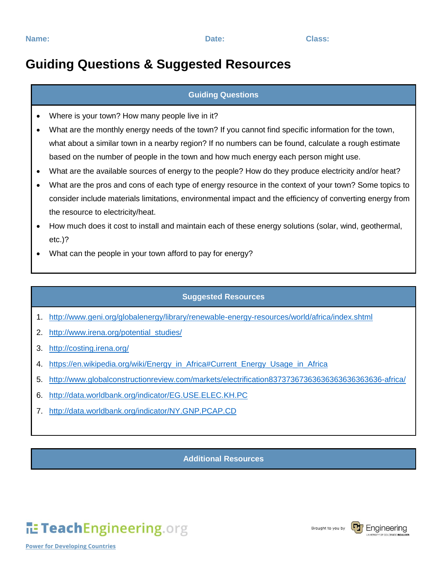## **Guiding Questions & Suggested Resources**

### **Guiding Questions**

- Where is your town? How many people live in it?
- What are the monthly energy needs of the town? If you cannot find specific information for the town, what about a similar town in a nearby region? If no numbers can be found, calculate a rough estimate based on the number of people in the town and how much energy each person might use.
- What are the available sources of energy to the people? How do they produce electricity and/or heat?
- What are the pros and cons of each type of energy resource in the context of your town? Some topics to consider include materials limitations, environmental impact and the efficiency of converting energy from the resource to electricity/heat.
- How much does it cost to install and maintain each of these energy solutions (solar, wind, geothermal, etc.)?
- What can the people in your town afford to pay for energy?

#### **Suggested Resources**

- 1. <http://www.geni.org/globalenergy/library/renewable-energy-resources/world/africa/index.shtml>
- 2. [http://www.irena.org/potential\\_studies/](http://www.irena.org/potential_studies/)
- 3. <http://costing.irena.org/>
- 4. [https://en.wikipedia.org/wiki/Energy\\_in\\_Africa#Current\\_Energy\\_Usage\\_in\\_Africa](https://en.wikipedia.org/wiki/Energy_in_Africa#Current_Energy_Usage_in_Africa)
- 5. <http://www.globalconstructionreview.com/markets/electrification83737367363636363636363636-africa/>
- 6. <http://data.worldbank.org/indicator/EG.USE.ELEC.KH.PC>
- 7. <http://data.worldbank.org/indicator/NY.GNP.PCAP.CD>

#### **Additional Resources**

# TeachEngineering.org